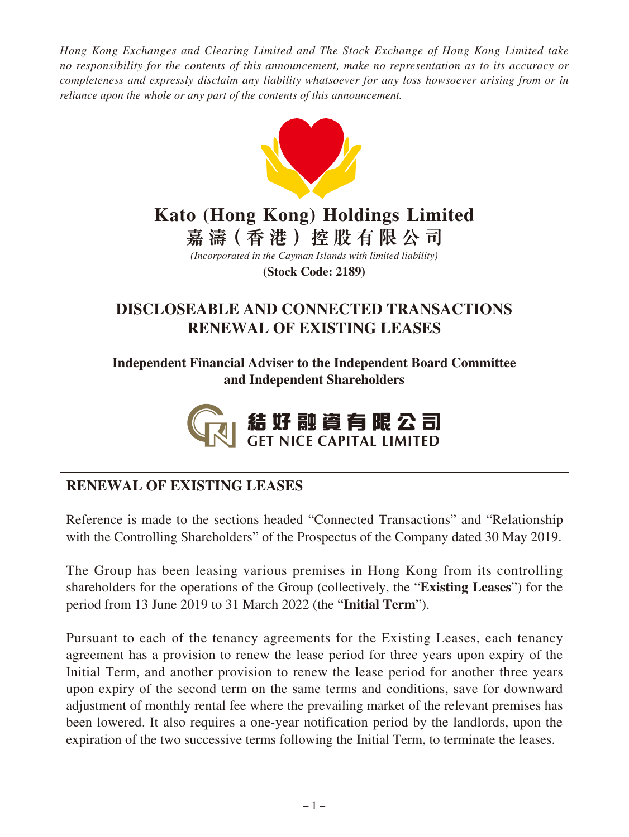*Hong Kong Exchanges and Clearing Limited and The Stock Exchange of Hong Kong Limited take no responsibility for the contents of this announcement, make no representation as to its accuracy or completeness and expressly disclaim any liability whatsoever for any loss howsoever arising from or in reliance upon the whole or any part of the contents of this announcement.*



# **Kato (Hong Kong) Holdings Limited**

**嘉 濤(香港)控股有限公司**

*(Incorporated in the Cayman Islands with limited liability)* **(Stock Code: 2189)**

# **DISCLOSEABLE AND CONNECTED TRANSACTIONS RENEWAL OF EXISTING LEASES**

**Independent Financial Adviser to the Independent Board Committee and Independent Shareholders**



# **RENEWAL OF EXISTING LEASES**

Reference is made to the sections headed "Connected Transactions" and "Relationship with the Controlling Shareholders" of the Prospectus of the Company dated 30 May 2019.

The Group has been leasing various premises in Hong Kong from its controlling shareholders for the operations of the Group (collectively, the "**Existing Leases**") for the period from 13 June 2019 to 31 March 2022 (the "**Initial Term**").

Pursuant to each of the tenancy agreements for the Existing Leases, each tenancy agreement has a provision to renew the lease period for three years upon expiry of the Initial Term, and another provision to renew the lease period for another three years upon expiry of the second term on the same terms and conditions, save for downward adjustment of monthly rental fee where the prevailing market of the relevant premises has been lowered. It also requires a one-year notification period by the landlords, upon the expiration of the two successive terms following the Initial Term, to terminate the leases.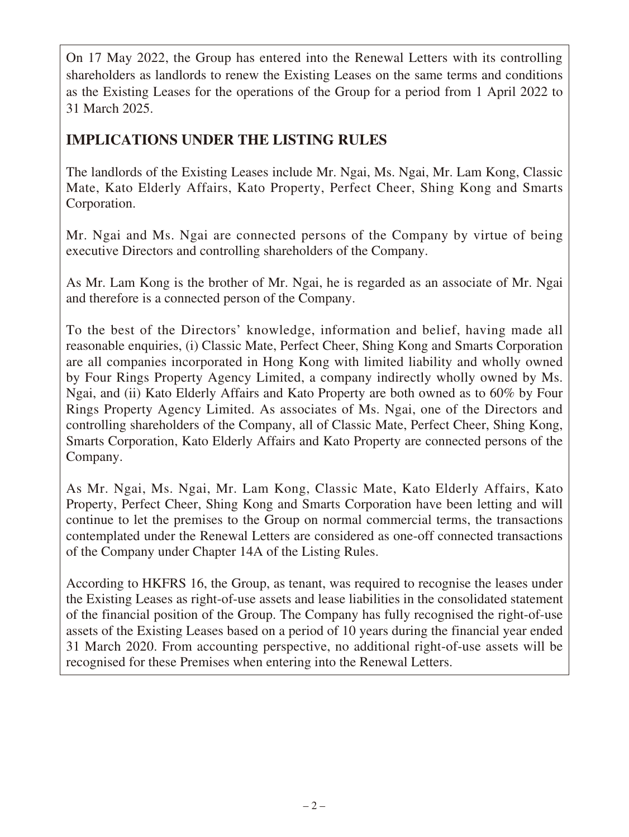On 17 May 2022, the Group has entered into the Renewal Letters with its controlling shareholders as landlords to renew the Existing Leases on the same terms and conditions as the Existing Leases for the operations of the Group for a period from 1 April 2022 to 31 March 2025.

# **IMPLICATIONS UNDER THE LISTING RULES**

The landlords of the Existing Leases include Mr. Ngai, Ms. Ngai, Mr. Lam Kong, Classic Mate, Kato Elderly Affairs, Kato Property, Perfect Cheer, Shing Kong and Smarts Corporation.

Mr. Ngai and Ms. Ngai are connected persons of the Company by virtue of being executive Directors and controlling shareholders of the Company.

As Mr. Lam Kong is the brother of Mr. Ngai, he is regarded as an associate of Mr. Ngai and therefore is a connected person of the Company.

To the best of the Directors' knowledge, information and belief, having made all reasonable enquiries, (i) Classic Mate, Perfect Cheer, Shing Kong and Smarts Corporation are all companies incorporated in Hong Kong with limited liability and wholly owned by Four Rings Property Agency Limited, a company indirectly wholly owned by Ms. Ngai, and (ii) Kato Elderly Affairs and Kato Property are both owned as to 60% by Four Rings Property Agency Limited. As associates of Ms. Ngai, one of the Directors and controlling shareholders of the Company, all of Classic Mate, Perfect Cheer, Shing Kong, Smarts Corporation, Kato Elderly Affairs and Kato Property are connected persons of the Company.

As Mr. Ngai, Ms. Ngai, Mr. Lam Kong, Classic Mate, Kato Elderly Affairs, Kato Property, Perfect Cheer, Shing Kong and Smarts Corporation have been letting and will continue to let the premises to the Group on normal commercial terms, the transactions contemplated under the Renewal Letters are considered as one-off connected transactions of the Company under Chapter 14A of the Listing Rules.

According to HKFRS 16, the Group, as tenant, was required to recognise the leases under the Existing Leases as right-of-use assets and lease liabilities in the consolidated statement of the financial position of the Group. The Company has fully recognised the right-of-use assets of the Existing Leases based on a period of 10 years during the financial year ended 31 March 2020. From accounting perspective, no additional right-of-use assets will be recognised for these Premises when entering into the Renewal Letters.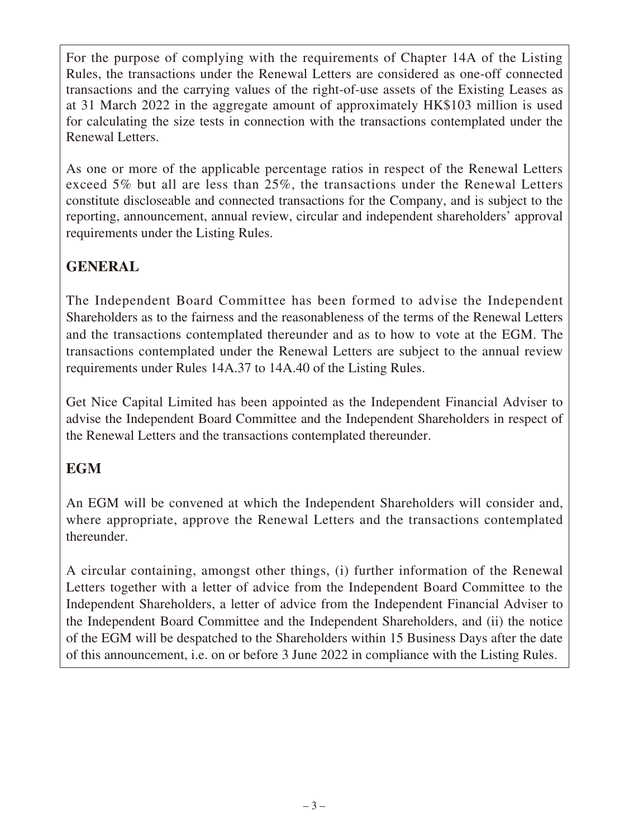For the purpose of complying with the requirements of Chapter 14A of the Listing Rules, the transactions under the Renewal Letters are considered as one-off connected transactions and the carrying values of the right-of-use assets of the Existing Leases as at 31 March 2022 in the aggregate amount of approximately HK\$103 million is used for calculating the size tests in connection with the transactions contemplated under the Renewal Letters.

As one or more of the applicable percentage ratios in respect of the Renewal Letters exceed 5% but all are less than 25%, the transactions under the Renewal Letters constitute discloseable and connected transactions for the Company, and is subject to the reporting, announcement, annual review, circular and independent shareholders' approval requirements under the Listing Rules.

# **GENERAL**

The Independent Board Committee has been formed to advise the Independent Shareholders as to the fairness and the reasonableness of the terms of the Renewal Letters and the transactions contemplated thereunder and as to how to vote at the EGM. The transactions contemplated under the Renewal Letters are subject to the annual review requirements under Rules 14A.37 to 14A.40 of the Listing Rules.

Get Nice Capital Limited has been appointed as the Independent Financial Adviser to advise the Independent Board Committee and the Independent Shareholders in respect of the Renewal Letters and the transactions contemplated thereunder.

# **EGM**

An EGM will be convened at which the Independent Shareholders will consider and, where appropriate, approve the Renewal Letters and the transactions contemplated thereunder.

A circular containing, amongst other things, (i) further information of the Renewal Letters together with a letter of advice from the Independent Board Committee to the Independent Shareholders, a letter of advice from the Independent Financial Adviser to the Independent Board Committee and the Independent Shareholders, and (ii) the notice of the EGM will be despatched to the Shareholders within 15 Business Days after the date of this announcement, i.e. on or before 3 June 2022 in compliance with the Listing Rules.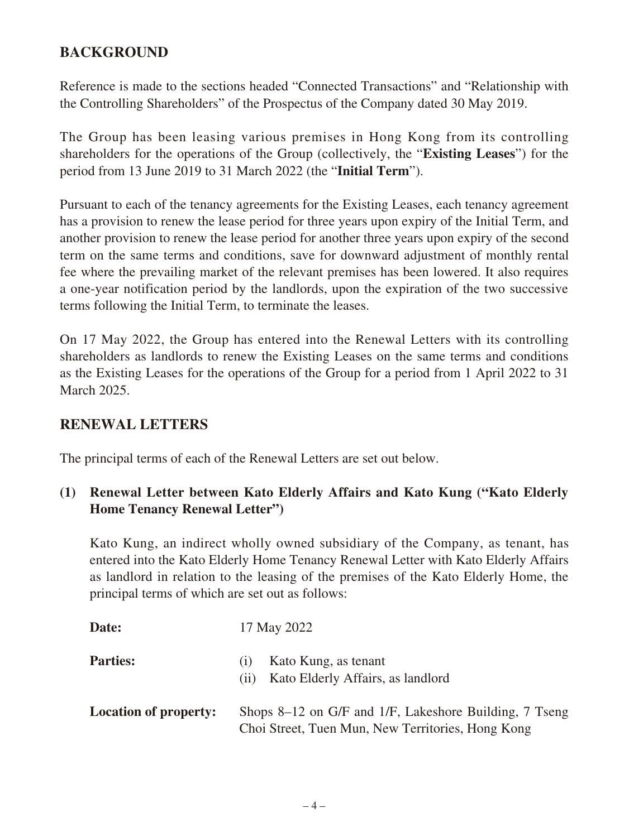# **BACKGROUND**

Reference is made to the sections headed "Connected Transactions" and "Relationship with the Controlling Shareholders" of the Prospectus of the Company dated 30 May 2019.

The Group has been leasing various premises in Hong Kong from its controlling shareholders for the operations of the Group (collectively, the "**Existing Leases**") for the period from 13 June 2019 to 31 March 2022 (the "**Initial Term**").

Pursuant to each of the tenancy agreements for the Existing Leases, each tenancy agreement has a provision to renew the lease period for three years upon expiry of the Initial Term, and another provision to renew the lease period for another three years upon expiry of the second term on the same terms and conditions, save for downward adjustment of monthly rental fee where the prevailing market of the relevant premises has been lowered. It also requires a one-year notification period by the landlords, upon the expiration of the two successive terms following the Initial Term, to terminate the leases.

On 17 May 2022, the Group has entered into the Renewal Letters with its controlling shareholders as landlords to renew the Existing Leases on the same terms and conditions as the Existing Leases for the operations of the Group for a period from 1 April 2022 to 31 March 2025.

## **RENEWAL LETTERS**

The principal terms of each of the Renewal Letters are set out below.

## **(1) Renewal Letter between Kato Elderly Affairs and Kato Kung ("Kato Elderly Home Tenancy Renewal Letter")**

Kato Kung, an indirect wholly owned subsidiary of the Company, as tenant, has entered into the Kato Elderly Home Tenancy Renewal Letter with Kato Elderly Affairs as landlord in relation to the leasing of the premises of the Kato Elderly Home, the principal terms of which are set out as follows:

| Date:                        | 17 May 2022                                                                                                 |
|------------------------------|-------------------------------------------------------------------------------------------------------------|
| <b>Parties:</b>              | Kato Kung, as tenant<br>(1)<br>Kato Elderly Affairs, as landlord<br>(11)                                    |
| <b>Location of property:</b> | Shops 8–12 on G/F and 1/F, Lakeshore Building, 7 Tseng<br>Choi Street, Tuen Mun, New Territories, Hong Kong |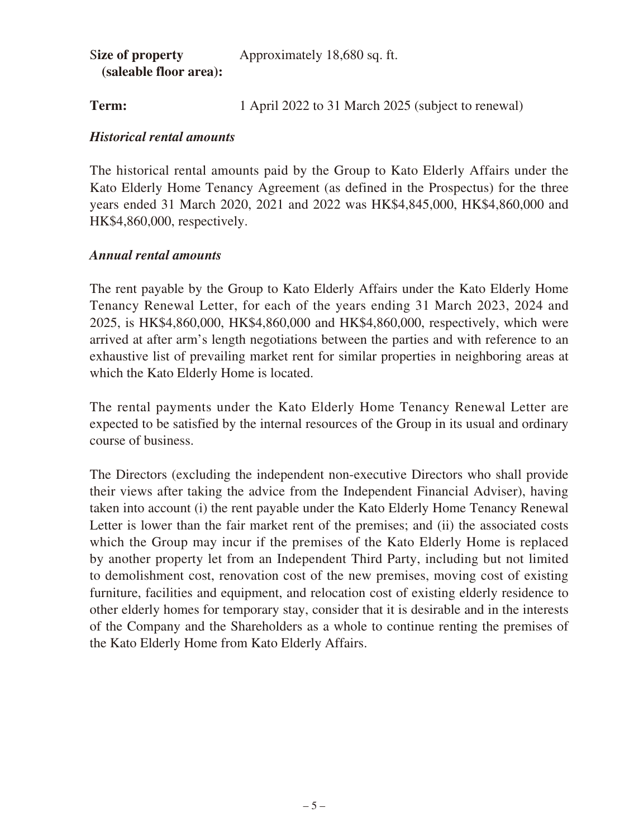| Size of property       | Approximately 18,680 sq. ft. |
|------------------------|------------------------------|
| (saleable floor area): |                              |

**Term:** 1 April 2022 to 31 March 2025 (subject to renewal)

#### *Historical rental amounts*

The historical rental amounts paid by the Group to Kato Elderly Affairs under the Kato Elderly Home Tenancy Agreement (as defined in the Prospectus) for the three years ended 31 March 2020, 2021 and 2022 was HK\$4,845,000, HK\$4,860,000 and HK\$4,860,000, respectively.

## *Annual rental amounts*

The rent payable by the Group to Kato Elderly Affairs under the Kato Elderly Home Tenancy Renewal Letter, for each of the years ending 31 March 2023, 2024 and 2025, is HK\$4,860,000, HK\$4,860,000 and HK\$4,860,000, respectively, which were arrived at after arm's length negotiations between the parties and with reference to an exhaustive list of prevailing market rent for similar properties in neighboring areas at which the Kato Elderly Home is located.

The rental payments under the Kato Elderly Home Tenancy Renewal Letter are expected to be satisfied by the internal resources of the Group in its usual and ordinary course of business.

The Directors (excluding the independent non-executive Directors who shall provide their views after taking the advice from the Independent Financial Adviser), having taken into account (i) the rent payable under the Kato Elderly Home Tenancy Renewal Letter is lower than the fair market rent of the premises; and (ii) the associated costs which the Group may incur if the premises of the Kato Elderly Home is replaced by another property let from an Independent Third Party, including but not limited to demolishment cost, renovation cost of the new premises, moving cost of existing furniture, facilities and equipment, and relocation cost of existing elderly residence to other elderly homes for temporary stay, consider that it is desirable and in the interests of the Company and the Shareholders as a whole to continue renting the premises of the Kato Elderly Home from Kato Elderly Affairs.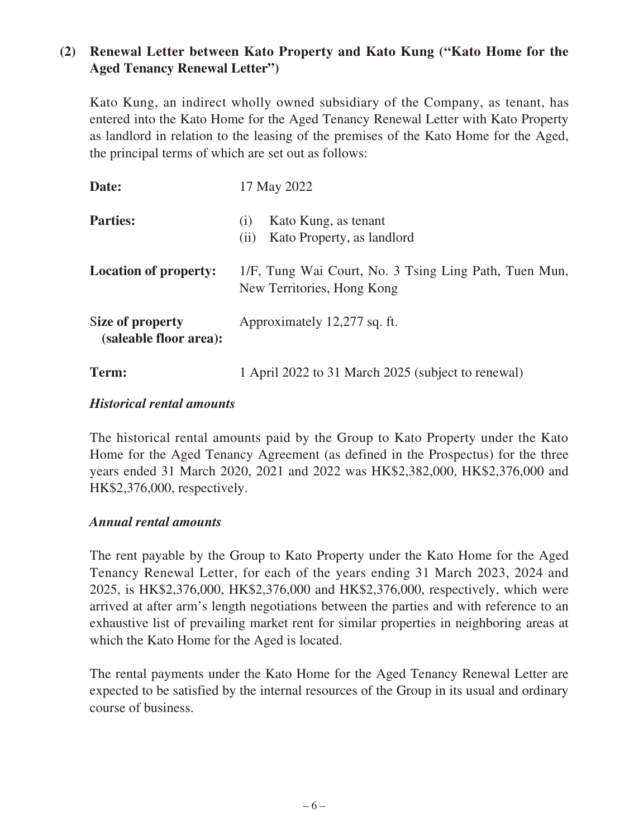# **(2) Renewal Letter between Kato Property and Kato Kung ("Kato Home for the Aged Tenancy Renewal Letter")**

Kato Kung, an indirect wholly owned subsidiary of the Company, as tenant, has entered into the Kato Home for the Aged Tenancy Renewal Letter with Kato Property as landlord in relation to the leasing of the premises of the Kato Home for the Aged, the principal terms of which are set out as follows:

| Date:                                      | 17 May 2022                                                                         |
|--------------------------------------------|-------------------------------------------------------------------------------------|
| <b>Parties:</b>                            | Kato Kung, as tenant<br>(1)<br>Kato Property, as landlord<br>(ii)                   |
| <b>Location of property:</b>               | 1/F, Tung Wai Court, No. 3 Tsing Ling Path, Tuen Mun,<br>New Territories, Hong Kong |
| Size of property<br>(saleable floor area): | Approximately 12,277 sq. ft.                                                        |
| Term:                                      | 1 April 2022 to 31 March 2025 (subject to renewal)                                  |

#### *Historical rental amounts*

The historical rental amounts paid by the Group to Kato Property under the Kato Home for the Aged Tenancy Agreement (as defined in the Prospectus) for the three years ended 31 March 2020, 2021 and 2022 was HK\$2,382,000, HK\$2,376,000 and HK\$2,376,000, respectively.

#### *Annual rental amounts*

The rent payable by the Group to Kato Property under the Kato Home for the Aged Tenancy Renewal Letter, for each of the years ending 31 March 2023, 2024 and 2025, is HK\$2,376,000, HK\$2,376,000 and HK\$2,376,000, respectively, which were arrived at after arm's length negotiations between the parties and with reference to an exhaustive list of prevailing market rent for similar properties in neighboring areas at which the Kato Home for the Aged is located.

The rental payments under the Kato Home for the Aged Tenancy Renewal Letter are expected to be satisfied by the internal resources of the Group in its usual and ordinary course of business.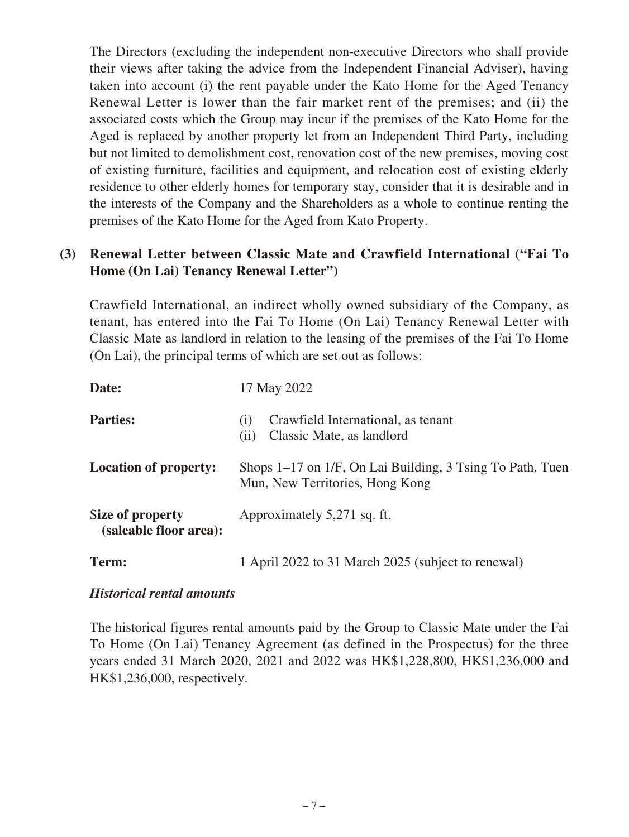The Directors (excluding the independent non-executive Directors who shall provide their views after taking the advice from the Independent Financial Adviser), having taken into account (i) the rent payable under the Kato Home for the Aged Tenancy Renewal Letter is lower than the fair market rent of the premises; and (ii) the associated costs which the Group may incur if the premises of the Kato Home for the Aged is replaced by another property let from an Independent Third Party, including but not limited to demolishment cost, renovation cost of the new premises, moving cost of existing furniture, facilities and equipment, and relocation cost of existing elderly residence to other elderly homes for temporary stay, consider that it is desirable and in the interests of the Company and the Shareholders as a whole to continue renting the premises of the Kato Home for the Aged from Kato Property.

# **(3) Renewal Letter between Classic Mate and Crawfield International ("Fai To Home (On Lai) Tenancy Renewal Letter")**

Crawfield International, an indirect wholly owned subsidiary of the Company, as tenant, has entered into the Fai To Home (On Lai) Tenancy Renewal Letter with Classic Mate as landlord in relation to the leasing of the premises of the Fai To Home (On Lai), the principal terms of which are set out as follows:

| Date:                                      | 17 May 2022                                                                                  |
|--------------------------------------------|----------------------------------------------------------------------------------------------|
| <b>Parties:</b>                            | Crawfield International, as tenant<br>(1)<br>Classic Mate, as landlord<br>(i)                |
| <b>Location of property:</b>               | Shops 1–17 on 1/F, On Lai Building, 3 Tsing To Path, Tuen<br>Mun, New Territories, Hong Kong |
| Size of property<br>(saleable floor area): | Approximately 5,271 sq. ft.                                                                  |
| Term:                                      | 1 April 2022 to 31 March 2025 (subject to renewal)                                           |

## *Historical rental amounts*

The historical figures rental amounts paid by the Group to Classic Mate under the Fai To Home (On Lai) Tenancy Agreement (as defined in the Prospectus) for the three years ended 31 March 2020, 2021 and 2022 was HK\$1,228,800, HK\$1,236,000 and HK\$1,236,000, respectively.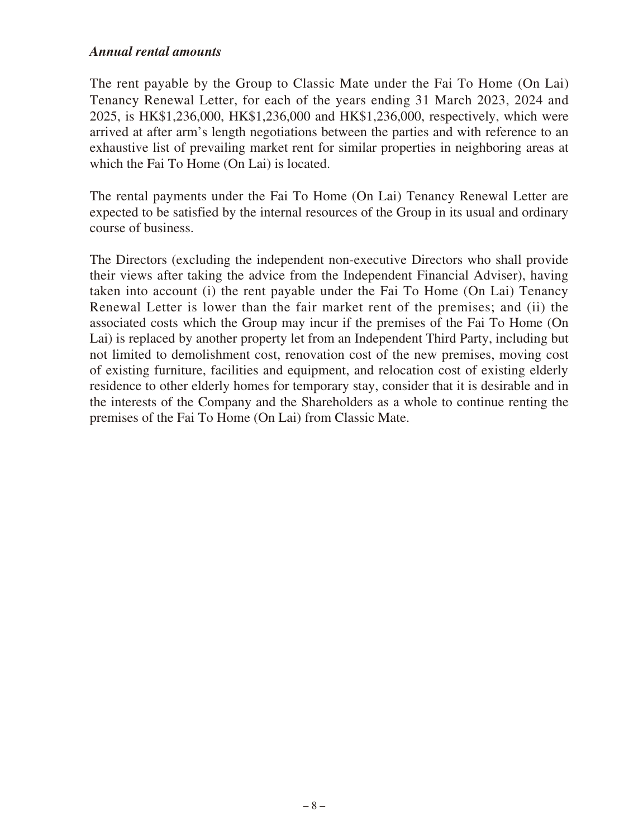The rent payable by the Group to Classic Mate under the Fai To Home (On Lai) Tenancy Renewal Letter, for each of the years ending 31 March 2023, 2024 and 2025, is HK\$1,236,000, HK\$1,236,000 and HK\$1,236,000, respectively, which were arrived at after arm's length negotiations between the parties and with reference to an exhaustive list of prevailing market rent for similar properties in neighboring areas at which the Fai To Home (On Lai) is located.

The rental payments under the Fai To Home (On Lai) Tenancy Renewal Letter are expected to be satisfied by the internal resources of the Group in its usual and ordinary course of business.

The Directors (excluding the independent non-executive Directors who shall provide their views after taking the advice from the Independent Financial Adviser), having taken into account (i) the rent payable under the Fai To Home (On Lai) Tenancy Renewal Letter is lower than the fair market rent of the premises; and (ii) the associated costs which the Group may incur if the premises of the Fai To Home (On Lai) is replaced by another property let from an Independent Third Party, including but not limited to demolishment cost, renovation cost of the new premises, moving cost of existing furniture, facilities and equipment, and relocation cost of existing elderly residence to other elderly homes for temporary stay, consider that it is desirable and in the interests of the Company and the Shareholders as a whole to continue renting the premises of the Fai To Home (On Lai) from Classic Mate.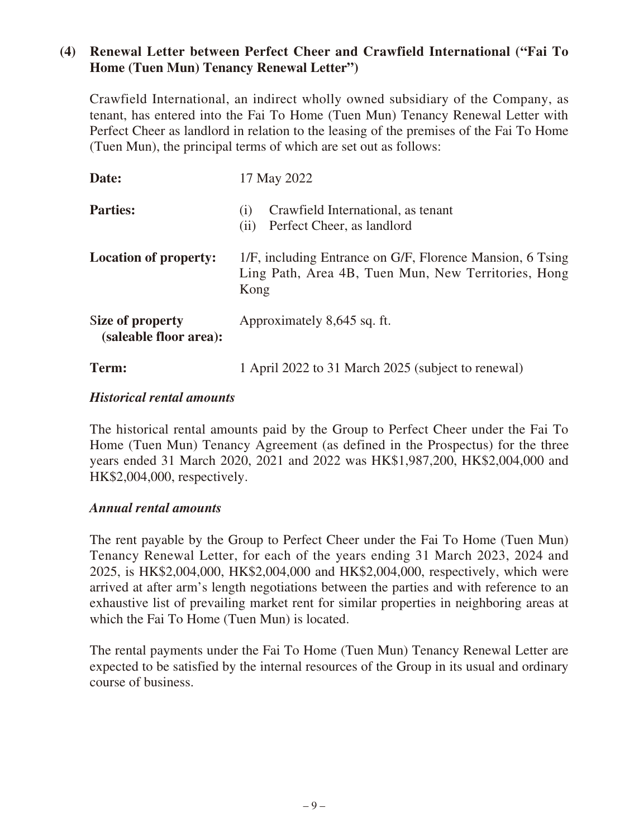## **(4) Renewal Letter between Perfect Cheer and Crawfield International ("Fai To Home (Tuen Mun) Tenancy Renewal Letter")**

Crawfield International, an indirect wholly owned subsidiary of the Company, as tenant, has entered into the Fai To Home (Tuen Mun) Tenancy Renewal Letter with Perfect Cheer as landlord in relation to the leasing of the premises of the Fai To Home (Tuen Mun), the principal terms of which are set out as follows:

| Date:                                      | 17 May 2022                                                                                                              |
|--------------------------------------------|--------------------------------------------------------------------------------------------------------------------------|
| <b>Parties:</b>                            | Crawfield International, as tenant<br>(i)<br>Perfect Cheer, as landlord<br>(ii)                                          |
| <b>Location of property:</b>               | 1/F, including Entrance on G/F, Florence Mansion, 6 Tsing<br>Ling Path, Area 4B, Tuen Mun, New Territories, Hong<br>Kong |
| Size of property<br>(saleable floor area): | Approximately 8,645 sq. ft.                                                                                              |
| Term:                                      | 1 April 2022 to 31 March 2025 (subject to renewal)                                                                       |

#### *Historical rental amounts*

The historical rental amounts paid by the Group to Perfect Cheer under the Fai To Home (Tuen Mun) Tenancy Agreement (as defined in the Prospectus) for the three years ended 31 March 2020, 2021 and 2022 was HK\$1,987,200, HK\$2,004,000 and HK\$2,004,000, respectively.

#### *Annual rental amounts*

The rent payable by the Group to Perfect Cheer under the Fai To Home (Tuen Mun) Tenancy Renewal Letter, for each of the years ending 31 March 2023, 2024 and 2025, is HK\$2,004,000, HK\$2,004,000 and HK\$2,004,000, respectively, which were arrived at after arm's length negotiations between the parties and with reference to an exhaustive list of prevailing market rent for similar properties in neighboring areas at which the Fai To Home (Tuen Mun) is located.

The rental payments under the Fai To Home (Tuen Mun) Tenancy Renewal Letter are expected to be satisfied by the internal resources of the Group in its usual and ordinary course of business.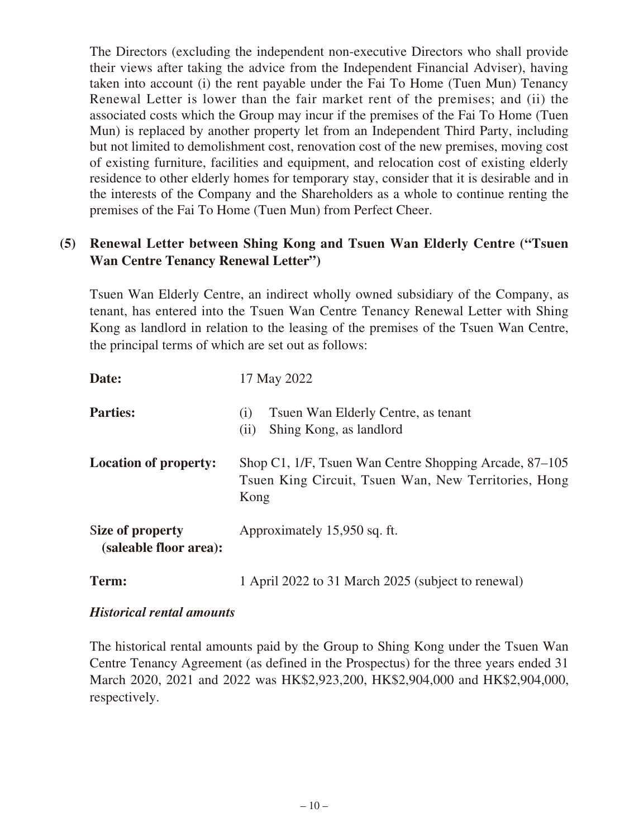The Directors (excluding the independent non-executive Directors who shall provide their views after taking the advice from the Independent Financial Adviser), having taken into account (i) the rent payable under the Fai To Home (Tuen Mun) Tenancy Renewal Letter is lower than the fair market rent of the premises; and (ii) the associated costs which the Group may incur if the premises of the Fai To Home (Tuen Mun) is replaced by another property let from an Independent Third Party, including but not limited to demolishment cost, renovation cost of the new premises, moving cost of existing furniture, facilities and equipment, and relocation cost of existing elderly residence to other elderly homes for temporary stay, consider that it is desirable and in the interests of the Company and the Shareholders as a whole to continue renting the premises of the Fai To Home (Tuen Mun) from Perfect Cheer.

## **(5) Renewal Letter between Shing Kong and Tsuen Wan Elderly Centre ("Tsuen Wan Centre Tenancy Renewal Letter")**

Tsuen Wan Elderly Centre, an indirect wholly owned subsidiary of the Company, as tenant, has entered into the Tsuen Wan Centre Tenancy Renewal Letter with Shing Kong as landlord in relation to the leasing of the premises of the Tsuen Wan Centre, the principal terms of which are set out as follows:

| Date:                                      | 17 May 2022                                                                                                            |
|--------------------------------------------|------------------------------------------------------------------------------------------------------------------------|
| <b>Parties:</b>                            | Tsuen Wan Elderly Centre, as tenant<br>(1)<br>Shing Kong, as landlord<br>(ii)                                          |
| <b>Location of property:</b>               | Shop C1, 1/F, Tsuen Wan Centre Shopping Arcade, 87–105<br>Tsuen King Circuit, Tsuen Wan, New Territories, Hong<br>Kong |
| Size of property<br>(saleable floor area): | Approximately 15,950 sq. ft.                                                                                           |
| Term:                                      | 1 April 2022 to 31 March 2025 (subject to renewal)                                                                     |

## *Historical rental amounts*

The historical rental amounts paid by the Group to Shing Kong under the Tsuen Wan Centre Tenancy Agreement (as defined in the Prospectus) for the three years ended 31 March 2020, 2021 and 2022 was HK\$2,923,200, HK\$2,904,000 and HK\$2,904,000, respectively.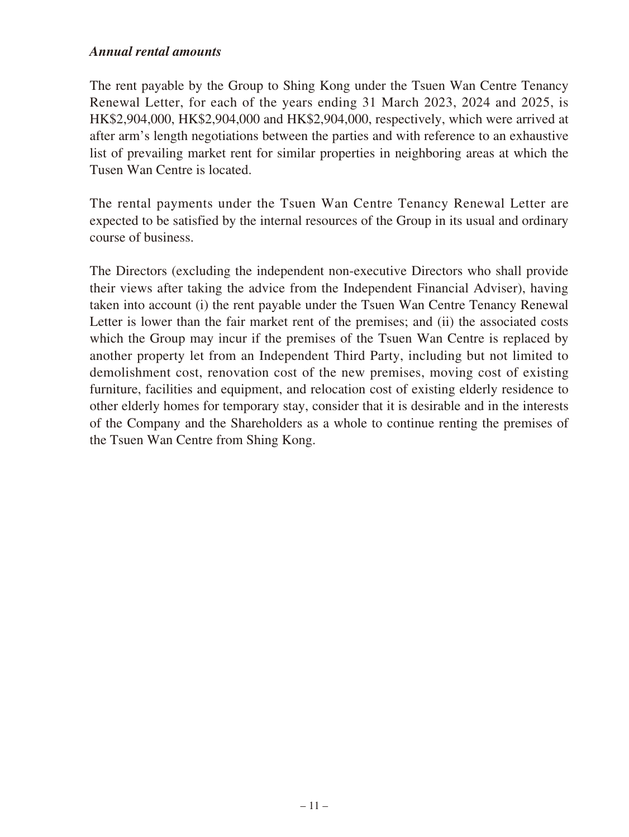The rent payable by the Group to Shing Kong under the Tsuen Wan Centre Tenancy Renewal Letter, for each of the years ending 31 March 2023, 2024 and 2025, is HK\$2,904,000, HK\$2,904,000 and HK\$2,904,000, respectively, which were arrived at after arm's length negotiations between the parties and with reference to an exhaustive list of prevailing market rent for similar properties in neighboring areas at which the Tusen Wan Centre is located.

The rental payments under the Tsuen Wan Centre Tenancy Renewal Letter are expected to be satisfied by the internal resources of the Group in its usual and ordinary course of business.

The Directors (excluding the independent non-executive Directors who shall provide their views after taking the advice from the Independent Financial Adviser), having taken into account (i) the rent payable under the Tsuen Wan Centre Tenancy Renewal Letter is lower than the fair market rent of the premises; and (ii) the associated costs which the Group may incur if the premises of the Tsuen Wan Centre is replaced by another property let from an Independent Third Party, including but not limited to demolishment cost, renovation cost of the new premises, moving cost of existing furniture, facilities and equipment, and relocation cost of existing elderly residence to other elderly homes for temporary stay, consider that it is desirable and in the interests of the Company and the Shareholders as a whole to continue renting the premises of the Tsuen Wan Centre from Shing Kong.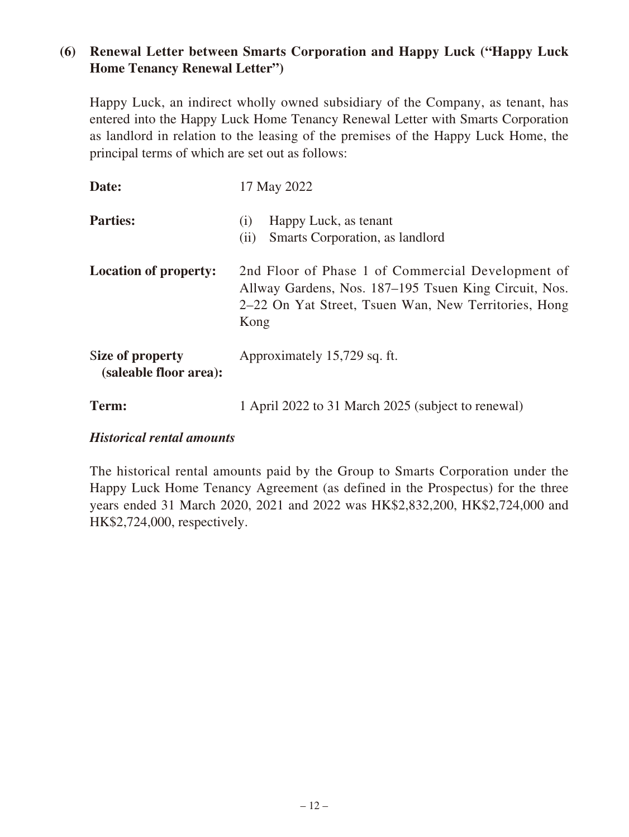# **(6) Renewal Letter between Smarts Corporation and Happy Luck ("Happy Luck Home Tenancy Renewal Letter")**

Happy Luck, an indirect wholly owned subsidiary of the Company, as tenant, has entered into the Happy Luck Home Tenancy Renewal Letter with Smarts Corporation as landlord in relation to the leasing of the premises of the Happy Luck Home, the principal terms of which are set out as follows:

| Date:                                      | 17 May 2022                                                                                                                                                                |
|--------------------------------------------|----------------------------------------------------------------------------------------------------------------------------------------------------------------------------|
| <b>Parties:</b>                            | Happy Luck, as tenant<br>(1)<br>Smarts Corporation, as landlord<br>(ii)                                                                                                    |
| <b>Location of property:</b>               | 2nd Floor of Phase 1 of Commercial Development of<br>Allway Gardens, Nos. 187–195 Tsuen King Circuit, Nos.<br>2–22 On Yat Street, Tsuen Wan, New Territories, Hong<br>Kong |
| Size of property<br>(saleable floor area): | Approximately 15,729 sq. ft.                                                                                                                                               |
| Term:                                      | 1 April 2022 to 31 March 2025 (subject to renewal)                                                                                                                         |

#### *Historical rental amounts*

The historical rental amounts paid by the Group to Smarts Corporation under the Happy Luck Home Tenancy Agreement (as defined in the Prospectus) for the three years ended 31 March 2020, 2021 and 2022 was HK\$2,832,200, HK\$2,724,000 and HK\$2,724,000, respectively.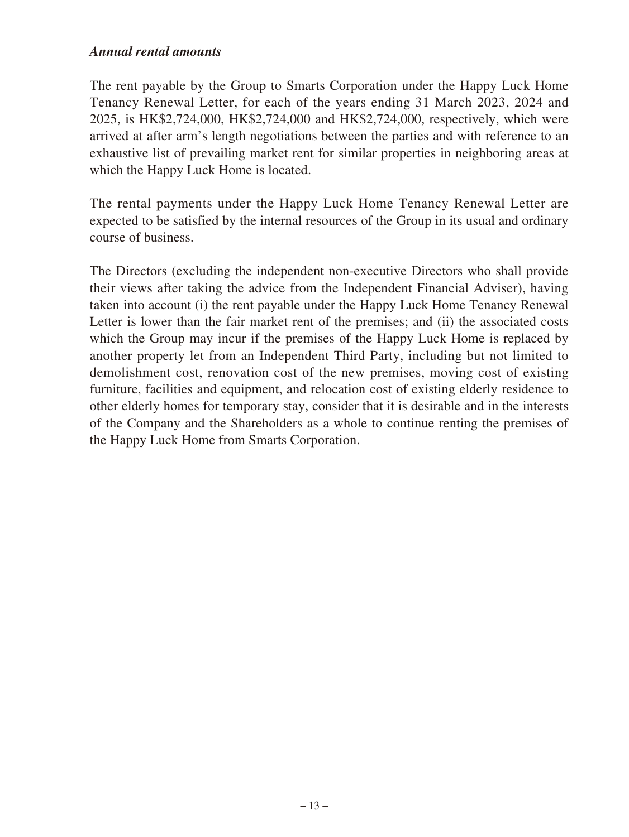The rent payable by the Group to Smarts Corporation under the Happy Luck Home Tenancy Renewal Letter, for each of the years ending 31 March 2023, 2024 and 2025, is HK\$2,724,000, HK\$2,724,000 and HK\$2,724,000, respectively, which were arrived at after arm's length negotiations between the parties and with reference to an exhaustive list of prevailing market rent for similar properties in neighboring areas at which the Happy Luck Home is located.

The rental payments under the Happy Luck Home Tenancy Renewal Letter are expected to be satisfied by the internal resources of the Group in its usual and ordinary course of business.

The Directors (excluding the independent non-executive Directors who shall provide their views after taking the advice from the Independent Financial Adviser), having taken into account (i) the rent payable under the Happy Luck Home Tenancy Renewal Letter is lower than the fair market rent of the premises; and (ii) the associated costs which the Group may incur if the premises of the Happy Luck Home is replaced by another property let from an Independent Third Party, including but not limited to demolishment cost, renovation cost of the new premises, moving cost of existing furniture, facilities and equipment, and relocation cost of existing elderly residence to other elderly homes for temporary stay, consider that it is desirable and in the interests of the Company and the Shareholders as a whole to continue renting the premises of the Happy Luck Home from Smarts Corporation.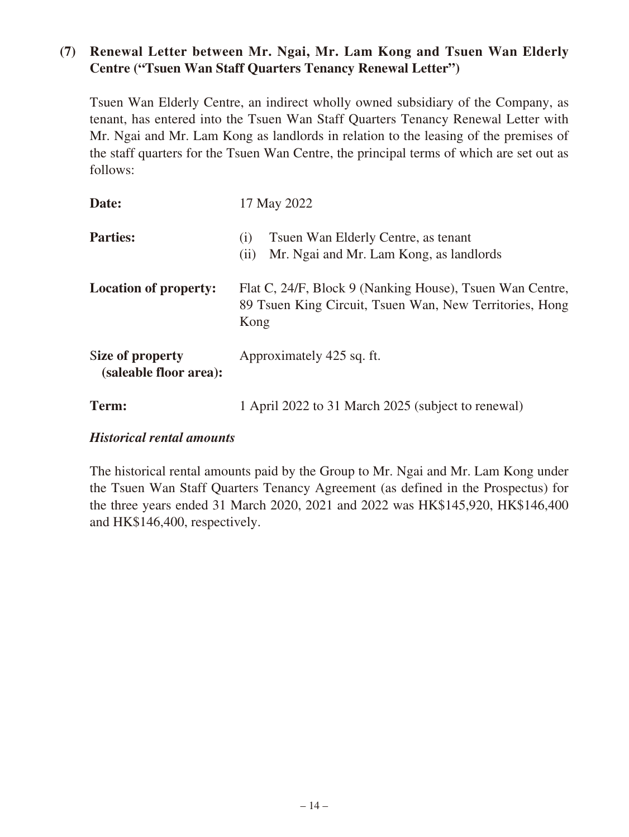# **(7) Renewal Letter between Mr. Ngai, Mr. Lam Kong and Tsuen Wan Elderly Centre ("Tsuen Wan Staff Quarters Tenancy Renewal Letter")**

Tsuen Wan Elderly Centre, an indirect wholly owned subsidiary of the Company, as tenant, has entered into the Tsuen Wan Staff Quarters Tenancy Renewal Letter with Mr. Ngai and Mr. Lam Kong as landlords in relation to the leasing of the premises of the staff quarters for the Tsuen Wan Centre, the principal terms of which are set out as follows:

| Date:                                      | 17 May 2022                                                                                                                 |
|--------------------------------------------|-----------------------------------------------------------------------------------------------------------------------------|
| <b>Parties:</b>                            | Tsuen Wan Elderly Centre, as tenant<br>(1)<br>Mr. Ngai and Mr. Lam Kong, as landlords<br>(ii)                               |
| <b>Location of property:</b>               | Flat C, 24/F, Block 9 (Nanking House), Tsuen Wan Centre,<br>89 Tsuen King Circuit, Tsuen Wan, New Territories, Hong<br>Kong |
| Size of property<br>(saleable floor area): | Approximately 425 sq. ft.                                                                                                   |
| Term:                                      | 1 April 2022 to 31 March 2025 (subject to renewal)                                                                          |

## *Historical rental amounts*

The historical rental amounts paid by the Group to Mr. Ngai and Mr. Lam Kong under the Tsuen Wan Staff Quarters Tenancy Agreement (as defined in the Prospectus) for the three years ended 31 March 2020, 2021 and 2022 was HK\$145,920, HK\$146,400 and HK\$146,400, respectively.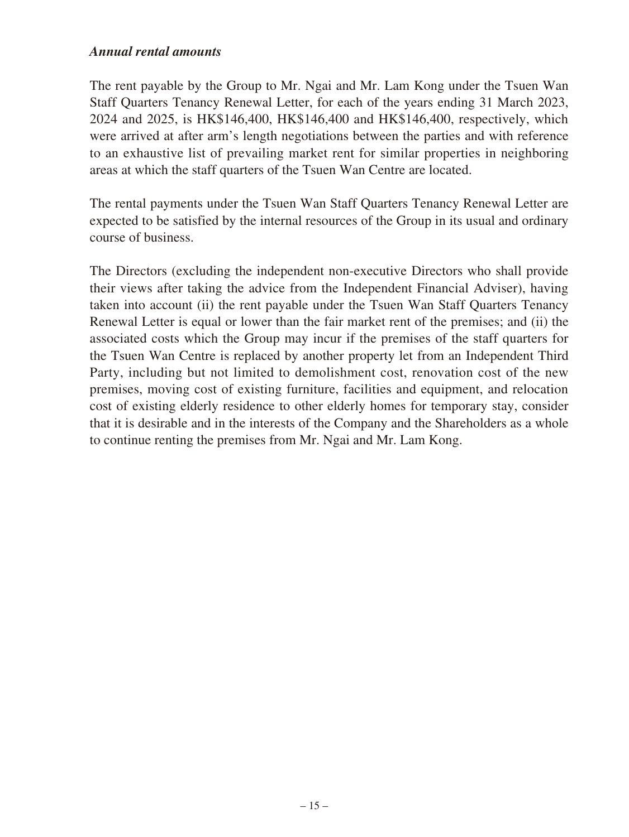The rent payable by the Group to Mr. Ngai and Mr. Lam Kong under the Tsuen Wan Staff Quarters Tenancy Renewal Letter, for each of the years ending 31 March 2023, 2024 and 2025, is HK\$146,400, HK\$146,400 and HK\$146,400, respectively, which were arrived at after arm's length negotiations between the parties and with reference to an exhaustive list of prevailing market rent for similar properties in neighboring areas at which the staff quarters of the Tsuen Wan Centre are located.

The rental payments under the Tsuen Wan Staff Quarters Tenancy Renewal Letter are expected to be satisfied by the internal resources of the Group in its usual and ordinary course of business.

The Directors (excluding the independent non-executive Directors who shall provide their views after taking the advice from the Independent Financial Adviser), having taken into account (ii) the rent payable under the Tsuen Wan Staff Quarters Tenancy Renewal Letter is equal or lower than the fair market rent of the premises; and (ii) the associated costs which the Group may incur if the premises of the staff quarters for the Tsuen Wan Centre is replaced by another property let from an Independent Third Party, including but not limited to demolishment cost, renovation cost of the new premises, moving cost of existing furniture, facilities and equipment, and relocation cost of existing elderly residence to other elderly homes for temporary stay, consider that it is desirable and in the interests of the Company and the Shareholders as a whole to continue renting the premises from Mr. Ngai and Mr. Lam Kong.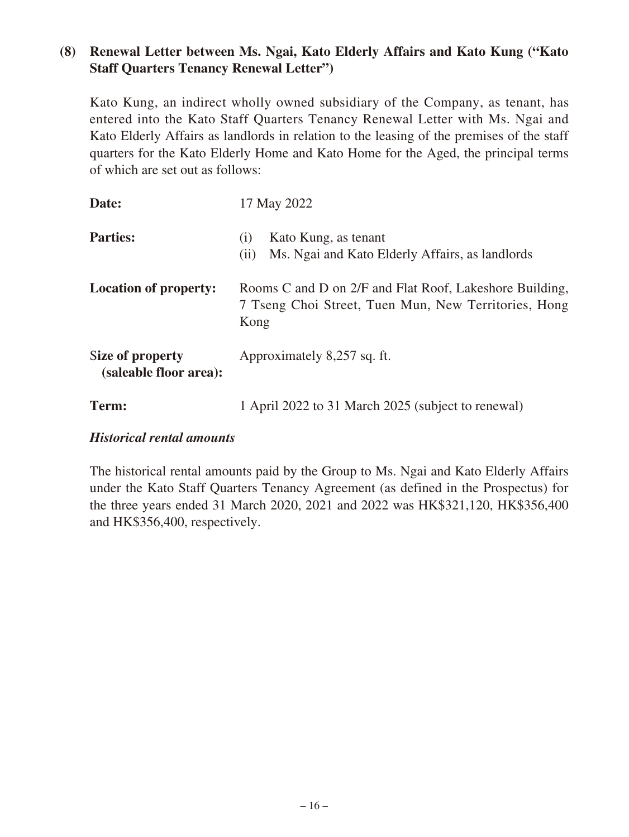# **(8) Renewal Letter between Ms. Ngai, Kato Elderly Affairs and Kato Kung ("Kato Staff Quarters Tenancy Renewal Letter")**

Kato Kung, an indirect wholly owned subsidiary of the Company, as tenant, has entered into the Kato Staff Quarters Tenancy Renewal Letter with Ms. Ngai and Kato Elderly Affairs as landlords in relation to the leasing of the premises of the staff quarters for the Kato Elderly Home and Kato Home for the Aged, the principal terms of which are set out as follows:

| Date:                                      | 17 May 2022                                                                                                             |
|--------------------------------------------|-------------------------------------------------------------------------------------------------------------------------|
| <b>Parties:</b>                            | Kato Kung, as tenant<br>(1)<br>Ms. Ngai and Kato Elderly Affairs, as landlords<br>(11)                                  |
| <b>Location of property:</b>               | Rooms C and D on 2/F and Flat Roof, Lakeshore Building,<br>7 Tseng Choi Street, Tuen Mun, New Territories, Hong<br>Kong |
| Size of property<br>(saleable floor area): | Approximately 8,257 sq. ft.                                                                                             |
| Term:                                      | 1 April 2022 to 31 March 2025 (subject to renewal)                                                                      |

## *Historical rental amounts*

The historical rental amounts paid by the Group to Ms. Ngai and Kato Elderly Affairs under the Kato Staff Quarters Tenancy Agreement (as defined in the Prospectus) for the three years ended 31 March 2020, 2021 and 2022 was HK\$321,120, HK\$356,400 and HK\$356,400, respectively.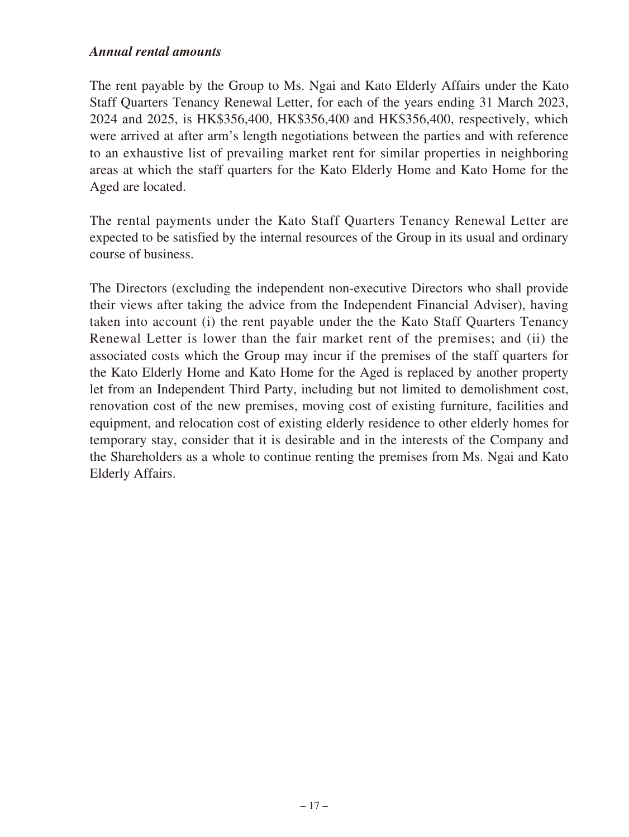The rent payable by the Group to Ms. Ngai and Kato Elderly Affairs under the Kato Staff Quarters Tenancy Renewal Letter, for each of the years ending 31 March 2023, 2024 and 2025, is HK\$356,400, HK\$356,400 and HK\$356,400, respectively, which were arrived at after arm's length negotiations between the parties and with reference to an exhaustive list of prevailing market rent for similar properties in neighboring areas at which the staff quarters for the Kato Elderly Home and Kato Home for the Aged are located.

The rental payments under the Kato Staff Quarters Tenancy Renewal Letter are expected to be satisfied by the internal resources of the Group in its usual and ordinary course of business.

The Directors (excluding the independent non-executive Directors who shall provide their views after taking the advice from the Independent Financial Adviser), having taken into account (i) the rent payable under the the Kato Staff Quarters Tenancy Renewal Letter is lower than the fair market rent of the premises; and (ii) the associated costs which the Group may incur if the premises of the staff quarters for the Kato Elderly Home and Kato Home for the Aged is replaced by another property let from an Independent Third Party, including but not limited to demolishment cost, renovation cost of the new premises, moving cost of existing furniture, facilities and equipment, and relocation cost of existing elderly residence to other elderly homes for temporary stay, consider that it is desirable and in the interests of the Company and the Shareholders as a whole to continue renting the premises from Ms. Ngai and Kato Elderly Affairs.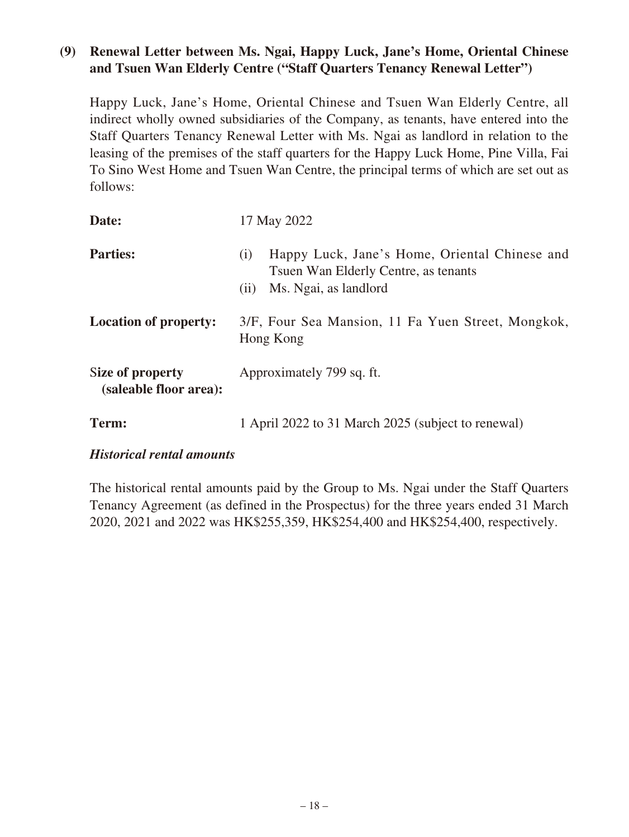## **(9) Renewal Letter between Ms. Ngai, Happy Luck, Jane's Home, Oriental Chinese and Tsuen Wan Elderly Centre ("Staff Quarters Tenancy Renewal Letter")**

Happy Luck, Jane's Home, Oriental Chinese and Tsuen Wan Elderly Centre, all indirect wholly owned subsidiaries of the Company, as tenants, have entered into the Staff Quarters Tenancy Renewal Letter with Ms. Ngai as landlord in relation to the leasing of the premises of the staff quarters for the Happy Luck Home, Pine Villa, Fai To Sino West Home and Tsuen Wan Centre, the principal terms of which are set out as follows:

| Date:                                      | 17 May 2022                                                                                                                   |
|--------------------------------------------|-------------------------------------------------------------------------------------------------------------------------------|
| <b>Parties:</b>                            | Happy Luck, Jane's Home, Oriental Chinese and<br>(i)<br>Tsuen Wan Elderly Centre, as tenants<br>Ms. Ngai, as landlord<br>(11) |
| <b>Location of property:</b>               | 3/F, Four Sea Mansion, 11 Fa Yuen Street, Mongkok,<br>Hong Kong                                                               |
| Size of property<br>(saleable floor area): | Approximately 799 sq. ft.                                                                                                     |
| Term:                                      | 1 April 2022 to 31 March 2025 (subject to renewal)                                                                            |

## *Historical rental amounts*

The historical rental amounts paid by the Group to Ms. Ngai under the Staff Quarters Tenancy Agreement (as defined in the Prospectus) for the three years ended 31 March 2020, 2021 and 2022 was HK\$255,359, HK\$254,400 and HK\$254,400, respectively.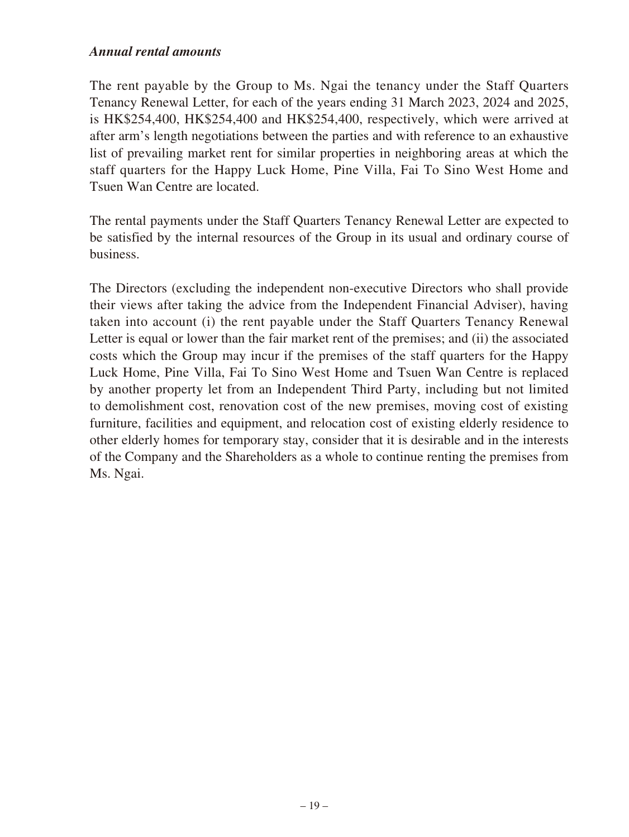The rent payable by the Group to Ms. Ngai the tenancy under the Staff Quarters Tenancy Renewal Letter, for each of the years ending 31 March 2023, 2024 and 2025, is HK\$254,400, HK\$254,400 and HK\$254,400, respectively, which were arrived at after arm's length negotiations between the parties and with reference to an exhaustive list of prevailing market rent for similar properties in neighboring areas at which the staff quarters for the Happy Luck Home, Pine Villa, Fai To Sino West Home and Tsuen Wan Centre are located.

The rental payments under the Staff Quarters Tenancy Renewal Letter are expected to be satisfied by the internal resources of the Group in its usual and ordinary course of business.

The Directors (excluding the independent non-executive Directors who shall provide their views after taking the advice from the Independent Financial Adviser), having taken into account (i) the rent payable under the Staff Quarters Tenancy Renewal Letter is equal or lower than the fair market rent of the premises; and (ii) the associated costs which the Group may incur if the premises of the staff quarters for the Happy Luck Home, Pine Villa, Fai To Sino West Home and Tsuen Wan Centre is replaced by another property let from an Independent Third Party, including but not limited to demolishment cost, renovation cost of the new premises, moving cost of existing furniture, facilities and equipment, and relocation cost of existing elderly residence to other elderly homes for temporary stay, consider that it is desirable and in the interests of the Company and the Shareholders as a whole to continue renting the premises from Ms. Ngai.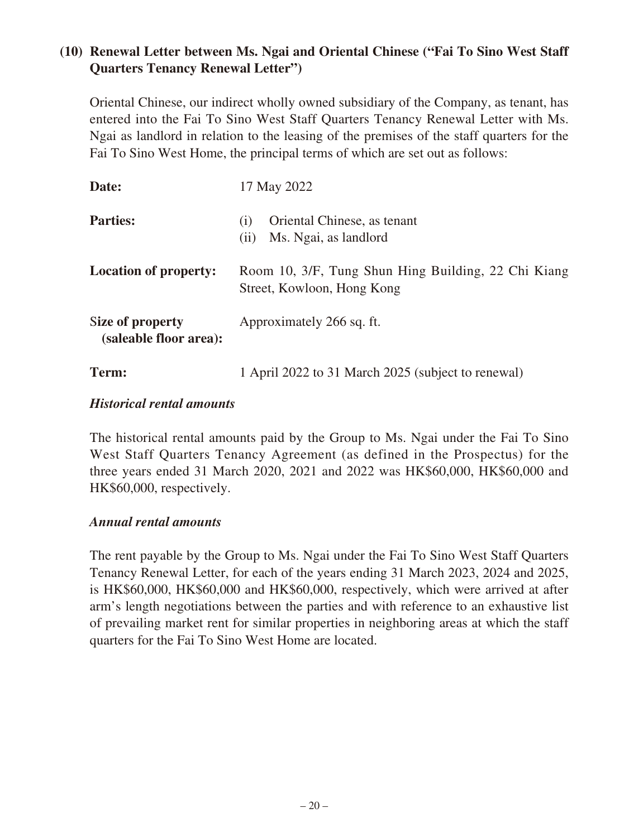# **(10) Renewal Letter between Ms. Ngai and Oriental Chinese ("Fai To Sino West Staff Quarters Tenancy Renewal Letter")**

Oriental Chinese, our indirect wholly owned subsidiary of the Company, as tenant, has entered into the Fai To Sino West Staff Quarters Tenancy Renewal Letter with Ms. Ngai as landlord in relation to the leasing of the premises of the staff quarters for the Fai To Sino West Home, the principal terms of which are set out as follows:

| Date:                                      | 17 May 2022                                                                       |
|--------------------------------------------|-----------------------------------------------------------------------------------|
| <b>Parties:</b>                            | Oriental Chinese, as tenant<br>(1)<br>Ms. Ngai, as landlord<br>(i)                |
| <b>Location of property:</b>               | Room 10, 3/F, Tung Shun Hing Building, 22 Chi Kiang<br>Street, Kowloon, Hong Kong |
| Size of property<br>(saleable floor area): | Approximately 266 sq. ft.                                                         |
| Term:                                      | 1 April 2022 to 31 March 2025 (subject to renewal)                                |

#### *Historical rental amounts*

The historical rental amounts paid by the Group to Ms. Ngai under the Fai To Sino West Staff Quarters Tenancy Agreement (as defined in the Prospectus) for the three years ended 31 March 2020, 2021 and 2022 was HK\$60,000, HK\$60,000 and HK\$60,000, respectively.

#### *Annual rental amounts*

The rent payable by the Group to Ms. Ngai under the Fai To Sino West Staff Quarters Tenancy Renewal Letter, for each of the years ending 31 March 2023, 2024 and 2025, is HK\$60,000, HK\$60,000 and HK\$60,000, respectively, which were arrived at after arm's length negotiations between the parties and with reference to an exhaustive list of prevailing market rent for similar properties in neighboring areas at which the staff quarters for the Fai To Sino West Home are located.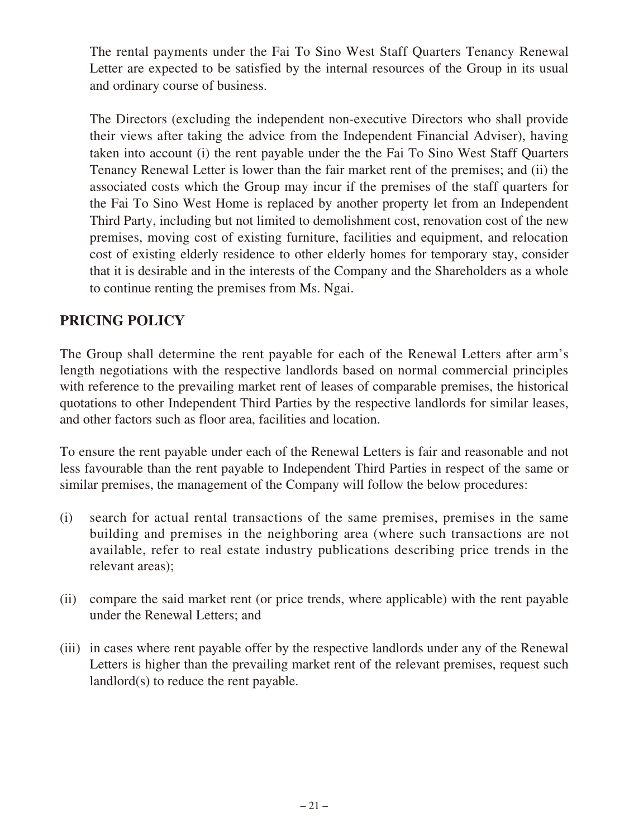The rental payments under the Fai To Sino West Staff Quarters Tenancy Renewal Letter are expected to be satisfied by the internal resources of the Group in its usual and ordinary course of business.

The Directors (excluding the independent non-executive Directors who shall provide their views after taking the advice from the Independent Financial Adviser), having taken into account (i) the rent payable under the the Fai To Sino West Staff Quarters Tenancy Renewal Letter is lower than the fair market rent of the premises; and (ii) the associated costs which the Group may incur if the premises of the staff quarters for the Fai To Sino West Home is replaced by another property let from an Independent Third Party, including but not limited to demolishment cost, renovation cost of the new premises, moving cost of existing furniture, facilities and equipment, and relocation cost of existing elderly residence to other elderly homes for temporary stay, consider that it is desirable and in the interests of the Company and the Shareholders as a whole to continue renting the premises from Ms. Ngai.

# **PRICING POLICY**

The Group shall determine the rent payable for each of the Renewal Letters after arm's length negotiations with the respective landlords based on normal commercial principles with reference to the prevailing market rent of leases of comparable premises, the historical quotations to other Independent Third Parties by the respective landlords for similar leases, and other factors such as floor area, facilities and location.

To ensure the rent payable under each of the Renewal Letters is fair and reasonable and not less favourable than the rent payable to Independent Third Parties in respect of the same or similar premises, the management of the Company will follow the below procedures:

- (i) search for actual rental transactions of the same premises, premises in the same building and premises in the neighboring area (where such transactions are not available, refer to real estate industry publications describing price trends in the relevant areas);
- (ii) compare the said market rent (or price trends, where applicable) with the rent payable under the Renewal Letters; and
- (iii) in cases where rent payable offer by the respective landlords under any of the Renewal Letters is higher than the prevailing market rent of the relevant premises, request such landlord(s) to reduce the rent payable.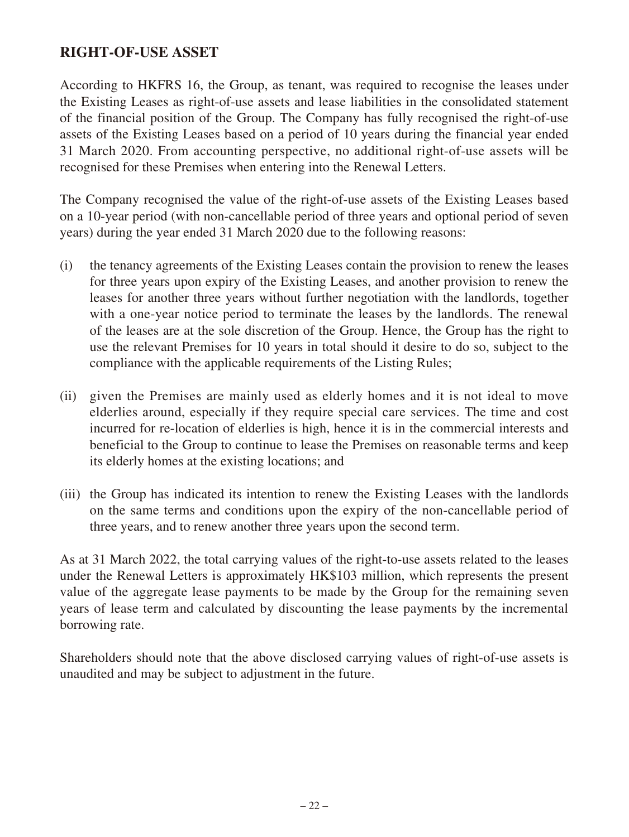# **RIGHT-OF-USE ASSET**

According to HKFRS 16, the Group, as tenant, was required to recognise the leases under the Existing Leases as right-of-use assets and lease liabilities in the consolidated statement of the financial position of the Group. The Company has fully recognised the right-of-use assets of the Existing Leases based on a period of 10 years during the financial year ended 31 March 2020. From accounting perspective, no additional right-of-use assets will be recognised for these Premises when entering into the Renewal Letters.

The Company recognised the value of the right-of-use assets of the Existing Leases based on a 10-year period (with non-cancellable period of three years and optional period of seven years) during the year ended 31 March 2020 due to the following reasons:

- (i) the tenancy agreements of the Existing Leases contain the provision to renew the leases for three years upon expiry of the Existing Leases, and another provision to renew the leases for another three years without further negotiation with the landlords, together with a one-year notice period to terminate the leases by the landlords. The renewal of the leases are at the sole discretion of the Group. Hence, the Group has the right to use the relevant Premises for 10 years in total should it desire to do so, subject to the compliance with the applicable requirements of the Listing Rules;
- (ii) given the Premises are mainly used as elderly homes and it is not ideal to move elderlies around, especially if they require special care services. The time and cost incurred for re-location of elderlies is high, hence it is in the commercial interests and beneficial to the Group to continue to lease the Premises on reasonable terms and keep its elderly homes at the existing locations; and
- (iii) the Group has indicated its intention to renew the Existing Leases with the landlords on the same terms and conditions upon the expiry of the non-cancellable period of three years, and to renew another three years upon the second term.

As at 31 March 2022, the total carrying values of the right-to-use assets related to the leases under the Renewal Letters is approximately HK\$103 million, which represents the present value of the aggregate lease payments to be made by the Group for the remaining seven years of lease term and calculated by discounting the lease payments by the incremental borrowing rate.

Shareholders should note that the above disclosed carrying values of right-of-use assets is unaudited and may be subject to adjustment in the future.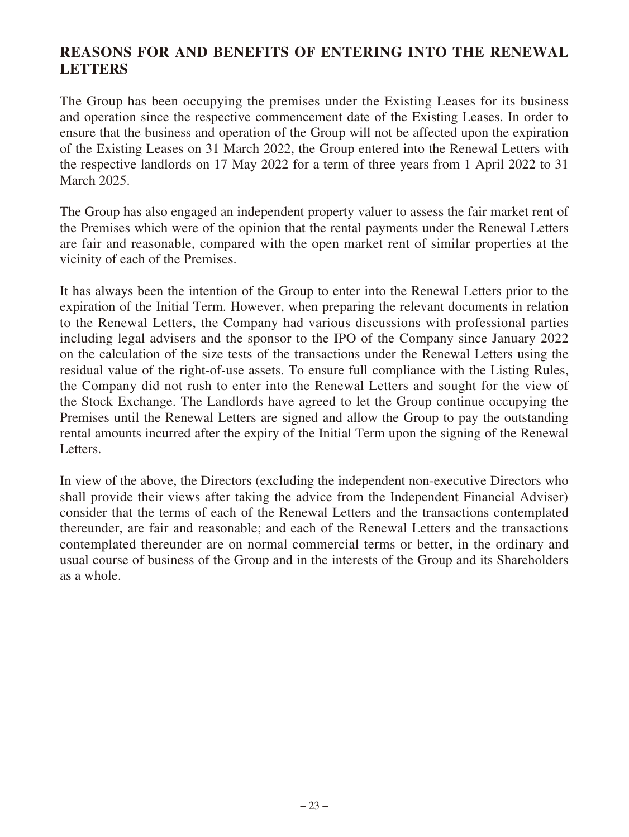# **REASONS FOR AND BENEFITS OF ENTERING INTO THE RENEWAL LETTERS**

The Group has been occupying the premises under the Existing Leases for its business and operation since the respective commencement date of the Existing Leases. In order to ensure that the business and operation of the Group will not be affected upon the expiration of the Existing Leases on 31 March 2022, the Group entered into the Renewal Letters with the respective landlords on 17 May 2022 for a term of three years from 1 April 2022 to 31 March 2025.

The Group has also engaged an independent property valuer to assess the fair market rent of the Premises which were of the opinion that the rental payments under the Renewal Letters are fair and reasonable, compared with the open market rent of similar properties at the vicinity of each of the Premises.

It has always been the intention of the Group to enter into the Renewal Letters prior to the expiration of the Initial Term. However, when preparing the relevant documents in relation to the Renewal Letters, the Company had various discussions with professional parties including legal advisers and the sponsor to the IPO of the Company since January 2022 on the calculation of the size tests of the transactions under the Renewal Letters using the residual value of the right-of-use assets. To ensure full compliance with the Listing Rules, the Company did not rush to enter into the Renewal Letters and sought for the view of the Stock Exchange. The Landlords have agreed to let the Group continue occupying the Premises until the Renewal Letters are signed and allow the Group to pay the outstanding rental amounts incurred after the expiry of the Initial Term upon the signing of the Renewal Letters.

In view of the above, the Directors (excluding the independent non-executive Directors who shall provide their views after taking the advice from the Independent Financial Adviser) consider that the terms of each of the Renewal Letters and the transactions contemplated thereunder, are fair and reasonable; and each of the Renewal Letters and the transactions contemplated thereunder are on normal commercial terms or better, in the ordinary and usual course of business of the Group and in the interests of the Group and its Shareholders as a whole.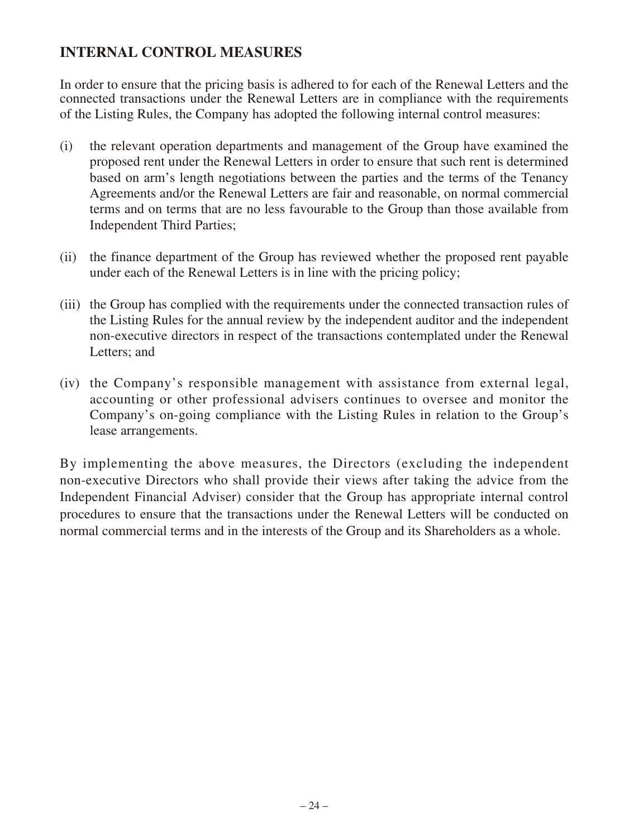# **INTERNAL CONTROL MEASURES**

In order to ensure that the pricing basis is adhered to for each of the Renewal Letters and the connected transactions under the Renewal Letters are in compliance with the requirements of the Listing Rules, the Company has adopted the following internal control measures:

- (i) the relevant operation departments and management of the Group have examined the proposed rent under the Renewal Letters in order to ensure that such rent is determined based on arm's length negotiations between the parties and the terms of the Tenancy Agreements and/or the Renewal Letters are fair and reasonable, on normal commercial terms and on terms that are no less favourable to the Group than those available from Independent Third Parties;
- (ii) the finance department of the Group has reviewed whether the proposed rent payable under each of the Renewal Letters is in line with the pricing policy;
- (iii) the Group has complied with the requirements under the connected transaction rules of the Listing Rules for the annual review by the independent auditor and the independent non-executive directors in respect of the transactions contemplated under the Renewal Letters; and
- (iv) the Company's responsible management with assistance from external legal, accounting or other professional advisers continues to oversee and monitor the Company's on-going compliance with the Listing Rules in relation to the Group's lease arrangements.

By implementing the above measures, the Directors (excluding the independent non-executive Directors who shall provide their views after taking the advice from the Independent Financial Adviser) consider that the Group has appropriate internal control procedures to ensure that the transactions under the Renewal Letters will be conducted on normal commercial terms and in the interests of the Group and its Shareholders as a whole.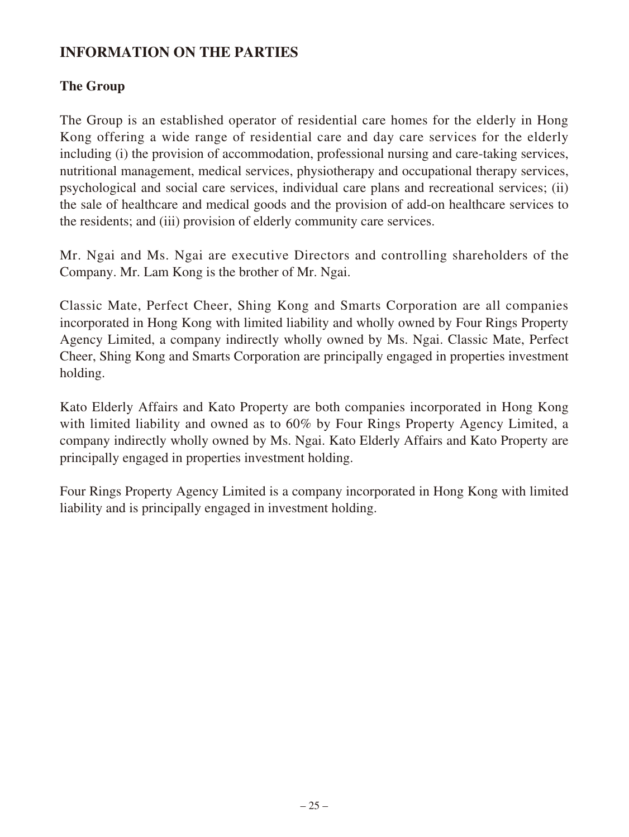# **INFORMATION ON THE PARTIES**

# **The Group**

The Group is an established operator of residential care homes for the elderly in Hong Kong offering a wide range of residential care and day care services for the elderly including (i) the provision of accommodation, professional nursing and care-taking services, nutritional management, medical services, physiotherapy and occupational therapy services, psychological and social care services, individual care plans and recreational services; (ii) the sale of healthcare and medical goods and the provision of add-on healthcare services to the residents; and (iii) provision of elderly community care services.

Mr. Ngai and Ms. Ngai are executive Directors and controlling shareholders of the Company. Mr. Lam Kong is the brother of Mr. Ngai.

Classic Mate, Perfect Cheer, Shing Kong and Smarts Corporation are all companies incorporated in Hong Kong with limited liability and wholly owned by Four Rings Property Agency Limited, a company indirectly wholly owned by Ms. Ngai. Classic Mate, Perfect Cheer, Shing Kong and Smarts Corporation are principally engaged in properties investment holding.

Kato Elderly Affairs and Kato Property are both companies incorporated in Hong Kong with limited liability and owned as to 60% by Four Rings Property Agency Limited, a company indirectly wholly owned by Ms. Ngai. Kato Elderly Affairs and Kato Property are principally engaged in properties investment holding.

Four Rings Property Agency Limited is a company incorporated in Hong Kong with limited liability and is principally engaged in investment holding.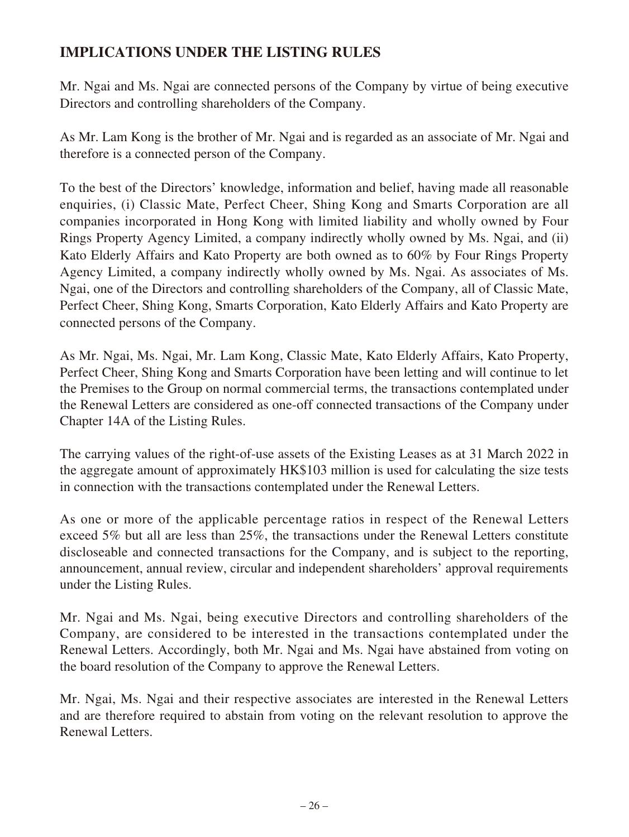# **IMPLICATIONS UNDER THE LISTING RULES**

Mr. Ngai and Ms. Ngai are connected persons of the Company by virtue of being executive Directors and controlling shareholders of the Company.

As Mr. Lam Kong is the brother of Mr. Ngai and is regarded as an associate of Mr. Ngai and therefore is a connected person of the Company.

To the best of the Directors' knowledge, information and belief, having made all reasonable enquiries, (i) Classic Mate, Perfect Cheer, Shing Kong and Smarts Corporation are all companies incorporated in Hong Kong with limited liability and wholly owned by Four Rings Property Agency Limited, a company indirectly wholly owned by Ms. Ngai, and (ii) Kato Elderly Affairs and Kato Property are both owned as to 60% by Four Rings Property Agency Limited, a company indirectly wholly owned by Ms. Ngai. As associates of Ms. Ngai, one of the Directors and controlling shareholders of the Company, all of Classic Mate, Perfect Cheer, Shing Kong, Smarts Corporation, Kato Elderly Affairs and Kato Property are connected persons of the Company.

As Mr. Ngai, Ms. Ngai, Mr. Lam Kong, Classic Mate, Kato Elderly Affairs, Kato Property, Perfect Cheer, Shing Kong and Smarts Corporation have been letting and will continue to let the Premises to the Group on normal commercial terms, the transactions contemplated under the Renewal Letters are considered as one-off connected transactions of the Company under Chapter 14A of the Listing Rules.

The carrying values of the right-of-use assets of the Existing Leases as at 31 March 2022 in the aggregate amount of approximately HK\$103 million is used for calculating the size tests in connection with the transactions contemplated under the Renewal Letters.

As one or more of the applicable percentage ratios in respect of the Renewal Letters exceed 5% but all are less than 25%, the transactions under the Renewal Letters constitute discloseable and connected transactions for the Company, and is subject to the reporting, announcement, annual review, circular and independent shareholders' approval requirements under the Listing Rules.

Mr. Ngai and Ms. Ngai, being executive Directors and controlling shareholders of the Company, are considered to be interested in the transactions contemplated under the Renewal Letters. Accordingly, both Mr. Ngai and Ms. Ngai have abstained from voting on the board resolution of the Company to approve the Renewal Letters.

Mr. Ngai, Ms. Ngai and their respective associates are interested in the Renewal Letters and are therefore required to abstain from voting on the relevant resolution to approve the Renewal Letters.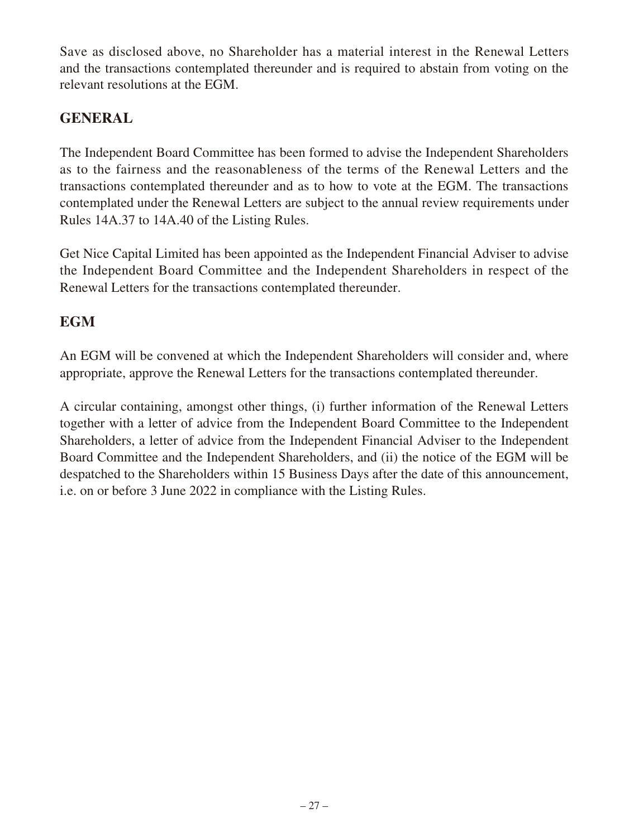Save as disclosed above, no Shareholder has a material interest in the Renewal Letters and the transactions contemplated thereunder and is required to abstain from voting on the relevant resolutions at the EGM.

# **GENERAL**

The Independent Board Committee has been formed to advise the Independent Shareholders as to the fairness and the reasonableness of the terms of the Renewal Letters and the transactions contemplated thereunder and as to how to vote at the EGM. The transactions contemplated under the Renewal Letters are subject to the annual review requirements under Rules 14A.37 to 14A.40 of the Listing Rules.

Get Nice Capital Limited has been appointed as the Independent Financial Adviser to advise the Independent Board Committee and the Independent Shareholders in respect of the Renewal Letters for the transactions contemplated thereunder.

# **EGM**

An EGM will be convened at which the Independent Shareholders will consider and, where appropriate, approve the Renewal Letters for the transactions contemplated thereunder.

A circular containing, amongst other things, (i) further information of the Renewal Letters together with a letter of advice from the Independent Board Committee to the Independent Shareholders, a letter of advice from the Independent Financial Adviser to the Independent Board Committee and the Independent Shareholders, and (ii) the notice of the EGM will be despatched to the Shareholders within 15 Business Days after the date of this announcement, i.e. on or before 3 June 2022 in compliance with the Listing Rules.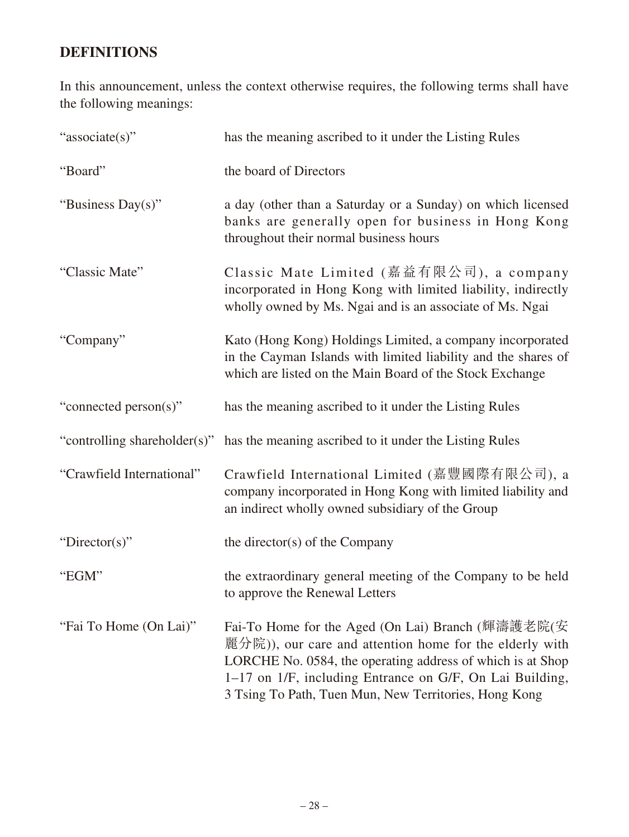# **DEFINITIONS**

In this announcement, unless the context otherwise requires, the following terms shall have the following meanings:

| "associate(s)"               | has the meaning ascribed to it under the Listing Rules                                                                                                                                                                                                                                          |
|------------------------------|-------------------------------------------------------------------------------------------------------------------------------------------------------------------------------------------------------------------------------------------------------------------------------------------------|
| "Board"                      | the board of Directors                                                                                                                                                                                                                                                                          |
| "Business Day(s)"            | a day (other than a Saturday or a Sunday) on which licensed<br>banks are generally open for business in Hong Kong<br>throughout their normal business hours                                                                                                                                     |
| "Classic Mate"               | Classic Mate Limited (嘉益有限公司), a company<br>incorporated in Hong Kong with limited liability, indirectly<br>wholly owned by Ms. Ngai and is an associate of Ms. Ngai                                                                                                                            |
| "Company"                    | Kato (Hong Kong) Holdings Limited, a company incorporated<br>in the Cayman Islands with limited liability and the shares of<br>which are listed on the Main Board of the Stock Exchange                                                                                                         |
| "connected person(s)"        | has the meaning ascribed to it under the Listing Rules                                                                                                                                                                                                                                          |
| "controlling shareholder(s)" | has the meaning ascribed to it under the Listing Rules                                                                                                                                                                                                                                          |
| "Crawfield International"    | Crawfield International Limited (嘉豐國際有限公司), a<br>company incorporated in Hong Kong with limited liability and<br>an indirect wholly owned subsidiary of the Group                                                                                                                               |
| "Director(s)"                | the director(s) of the Company                                                                                                                                                                                                                                                                  |
| "EGM"                        | the extraordinary general meeting of the Company to be held<br>to approve the Renewal Letters                                                                                                                                                                                                   |
| "Fai To Home (On Lai)"       | Fai-To Home for the Aged (On Lai) Branch (輝濤護老院(安<br>麗分院)), our care and attention home for the elderly with<br>LORCHE No. 0584, the operating address of which is at Shop<br>1–17 on 1/F, including Entrance on G/F, On Lai Building,<br>3 Tsing To Path, Tuen Mun, New Territories, Hong Kong |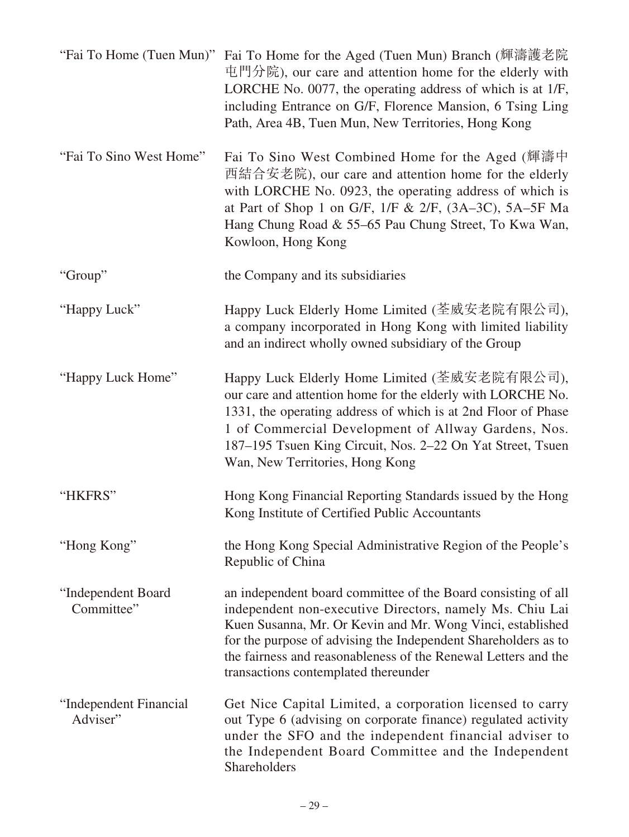|                                    | "Fai To Home (Tuen Mun)" Fai To Home for the Aged (Tuen Mun) Branch (輝濤護老院<br>屯門分院), our care and attention home for the elderly with<br>LORCHE No. 0077, the operating address of which is at 1/F,<br>including Entrance on G/F, Florence Mansion, 6 Tsing Ling<br>Path, Area 4B, Tuen Mun, New Territories, Hong Kong                                             |
|------------------------------------|---------------------------------------------------------------------------------------------------------------------------------------------------------------------------------------------------------------------------------------------------------------------------------------------------------------------------------------------------------------------|
| "Fai To Sino West Home"            | Fai To Sino West Combined Home for the Aged (輝濤中<br>西結合安老院), our care and attention home for the elderly<br>with LORCHE No. 0923, the operating address of which is<br>at Part of Shop 1 on G/F, $1/F & 2/F$ , $(3A-3C)$ , $5A-5F$ Ma<br>Hang Chung Road & 55–65 Pau Chung Street, To Kwa Wan,<br>Kowloon, Hong Kong                                                |
| "Group"                            | the Company and its subsidiaries                                                                                                                                                                                                                                                                                                                                    |
| "Happy Luck"                       | Happy Luck Elderly Home Limited (荃威安老院有限公司),<br>a company incorporated in Hong Kong with limited liability<br>and an indirect wholly owned subsidiary of the Group                                                                                                                                                                                                  |
| "Happy Luck Home"                  | Happy Luck Elderly Home Limited (荃威安老院有限公司),<br>our care and attention home for the elderly with LORCHE No.<br>1331, the operating address of which is at 2nd Floor of Phase<br>1 of Commercial Development of Allway Gardens, Nos.<br>187–195 Tsuen King Circuit, Nos. 2–22 On Yat Street, Tsuen<br>Wan, New Territories, Hong Kong                                |
| "HKFRS"                            | Hong Kong Financial Reporting Standards issued by the Hong<br>Kong Institute of Certified Public Accountants                                                                                                                                                                                                                                                        |
| "Hong Kong"                        | the Hong Kong Special Administrative Region of the People's<br>Republic of China                                                                                                                                                                                                                                                                                    |
| "Independent Board<br>Committee"   | an independent board committee of the Board consisting of all<br>independent non-executive Directors, namely Ms. Chiu Lai<br>Kuen Susanna, Mr. Or Kevin and Mr. Wong Vinci, established<br>for the purpose of advising the Independent Shareholders as to<br>the fairness and reasonableness of the Renewal Letters and the<br>transactions contemplated thereunder |
| "Independent Financial<br>Adviser" | Get Nice Capital Limited, a corporation licensed to carry<br>out Type 6 (advising on corporate finance) regulated activity<br>under the SFO and the independent financial adviser to<br>the Independent Board Committee and the Independent<br>Shareholders                                                                                                         |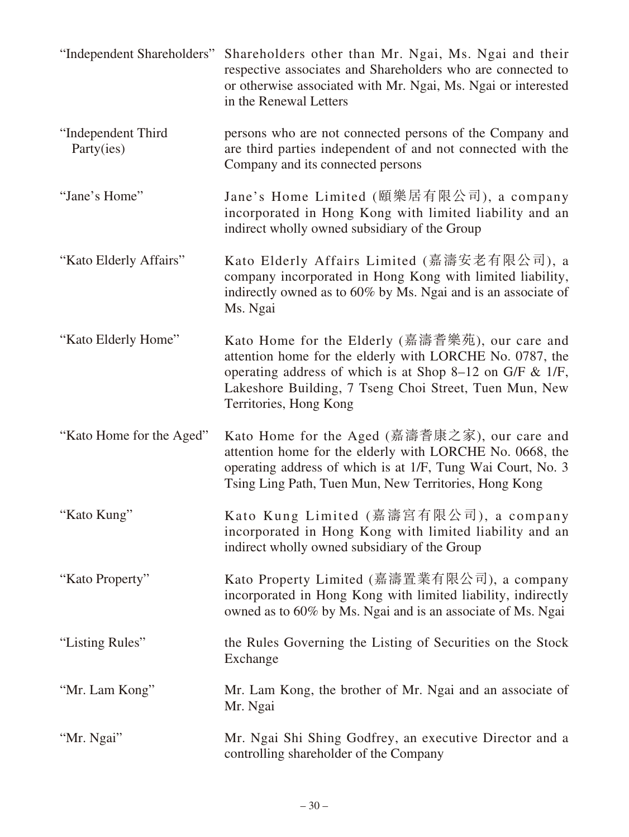| "Independent Shareholders"       | Shareholders other than Mr. Ngai, Ms. Ngai and their<br>respective associates and Shareholders who are connected to<br>or otherwise associated with Mr. Ngai, Ms. Ngai or interested<br>in the Renewal Letters                                                 |
|----------------------------------|----------------------------------------------------------------------------------------------------------------------------------------------------------------------------------------------------------------------------------------------------------------|
| "Independent Third<br>Party(ies) | persons who are not connected persons of the Company and<br>are third parties independent of and not connected with the<br>Company and its connected persons                                                                                                   |
| "Jane's Home"                    | Jane's Home Limited (頤樂居有限公司), a company<br>incorporated in Hong Kong with limited liability and an<br>indirect wholly owned subsidiary of the Group                                                                                                           |
| "Kato Elderly Affairs"           | Kato Elderly Affairs Limited (嘉濤安老有限公司), a<br>company incorporated in Hong Kong with limited liability,<br>indirectly owned as to 60% by Ms. Ngai and is an associate of<br>Ms. Ngai                                                                           |
| "Kato Elderly Home"              | Kato Home for the Elderly (嘉濤耆樂苑), our care and<br>attention home for the elderly with LORCHE No. 0787, the<br>operating address of which is at Shop 8–12 on G/F $\&$ 1/F,<br>Lakeshore Building, 7 Tseng Choi Street, Tuen Mun, New<br>Territories, Hong Kong |
| "Kato Home for the Aged"         | Kato Home for the Aged (嘉濤耆康之家), our care and<br>attention home for the elderly with LORCHE No. 0668, the<br>operating address of which is at 1/F, Tung Wai Court, No. 3<br>Tsing Ling Path, Tuen Mun, New Territories, Hong Kong                              |
| "Kato Kung"                      | Kato Kung Limited (嘉濤宮有限公司), a company<br>incorporated in Hong Kong with limited liability and an<br>indirect wholly owned subsidiary of the Group                                                                                                             |
| "Kato Property"                  | Kato Property Limited (嘉濤置業有限公司), a company<br>incorporated in Hong Kong with limited liability, indirectly<br>owned as to 60% by Ms. Ngai and is an associate of Ms. Ngai                                                                                     |
| "Listing Rules"                  | the Rules Governing the Listing of Securities on the Stock<br>Exchange                                                                                                                                                                                         |
| "Mr. Lam Kong"                   | Mr. Lam Kong, the brother of Mr. Ngai and an associate of<br>Mr. Ngai                                                                                                                                                                                          |
| "Mr. Ngai"                       | Mr. Ngai Shi Shing Godfrey, an executive Director and a<br>controlling shareholder of the Company                                                                                                                                                              |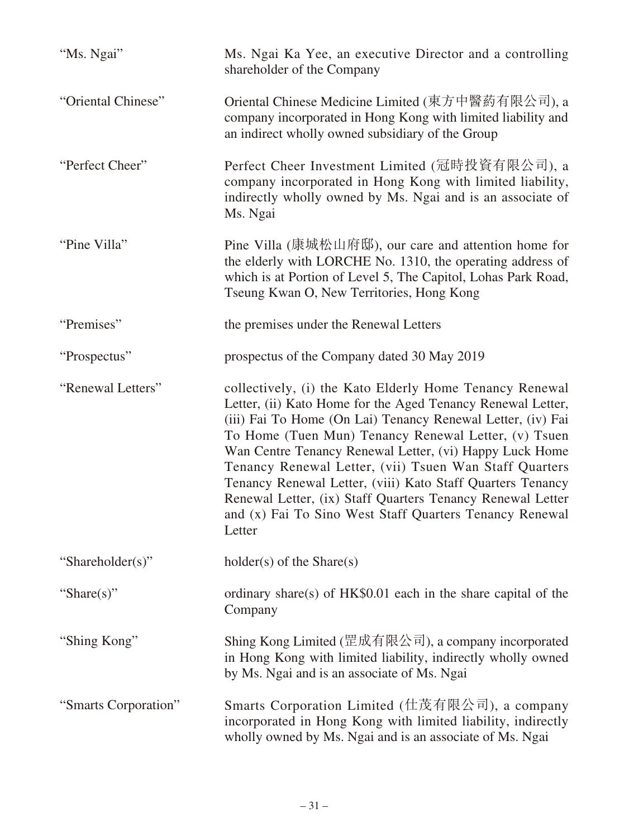| "Ms. Ngai"           | Ms. Ngai Ka Yee, an executive Director and a controlling<br>shareholder of the Company                                                                                                                                                                                                                                                                                                                                                                                                                                                                              |
|----------------------|---------------------------------------------------------------------------------------------------------------------------------------------------------------------------------------------------------------------------------------------------------------------------------------------------------------------------------------------------------------------------------------------------------------------------------------------------------------------------------------------------------------------------------------------------------------------|
| "Oriental Chinese"   | Oriental Chinese Medicine Limited (東方中醫葯有限公司), a<br>company incorporated in Hong Kong with limited liability and<br>an indirect wholly owned subsidiary of the Group                                                                                                                                                                                                                                                                                                                                                                                                |
| "Perfect Cheer"      | Perfect Cheer Investment Limited (冠時投資有限公司), a<br>company incorporated in Hong Kong with limited liability,<br>indirectly wholly owned by Ms. Ngai and is an associate of<br>Ms. Ngai                                                                                                                                                                                                                                                                                                                                                                               |
| "Pine Villa"         | Pine Villa (康城松山府邸), our care and attention home for<br>the elderly with LORCHE No. 1310, the operating address of<br>which is at Portion of Level 5, The Capitol, Lohas Park Road,<br>Tseung Kwan O, New Territories, Hong Kong                                                                                                                                                                                                                                                                                                                                    |
| "Premises"           | the premises under the Renewal Letters                                                                                                                                                                                                                                                                                                                                                                                                                                                                                                                              |
| "Prospectus"         | prospectus of the Company dated 30 May 2019                                                                                                                                                                                                                                                                                                                                                                                                                                                                                                                         |
| "Renewal Letters"    | collectively, (i) the Kato Elderly Home Tenancy Renewal<br>Letter, (ii) Kato Home for the Aged Tenancy Renewal Letter,<br>(iii) Fai To Home (On Lai) Tenancy Renewal Letter, (iv) Fai<br>To Home (Tuen Mun) Tenancy Renewal Letter, (v) Tsuen<br>Wan Centre Tenancy Renewal Letter, (vi) Happy Luck Home<br>Tenancy Renewal Letter, (vii) Tsuen Wan Staff Quarters<br>Tenancy Renewal Letter, (viii) Kato Staff Quarters Tenancy<br>Renewal Letter, (ix) Staff Quarters Tenancy Renewal Letter<br>and (x) Fai To Sino West Staff Quarters Tenancy Renewal<br>Letter |
| "Shareholder(s)"     | $holder(s)$ of the Share $(s)$                                                                                                                                                                                                                                                                                                                                                                                                                                                                                                                                      |
| "Share(s)"           | ordinary share(s) of HK\$0.01 each in the share capital of the<br>Company                                                                                                                                                                                                                                                                                                                                                                                                                                                                                           |
| "Shing Kong"         | Shing Kong Limited (罡成有限公司), a company incorporated<br>in Hong Kong with limited liability, indirectly wholly owned<br>by Ms. Ngai and is an associate of Ms. Ngai                                                                                                                                                                                                                                                                                                                                                                                                  |
| "Smarts Corporation" | Smarts Corporation Limited (仕茂有限公司), a company<br>incorporated in Hong Kong with limited liability, indirectly<br>wholly owned by Ms. Ngai and is an associate of Ms. Ngai                                                                                                                                                                                                                                                                                                                                                                                          |